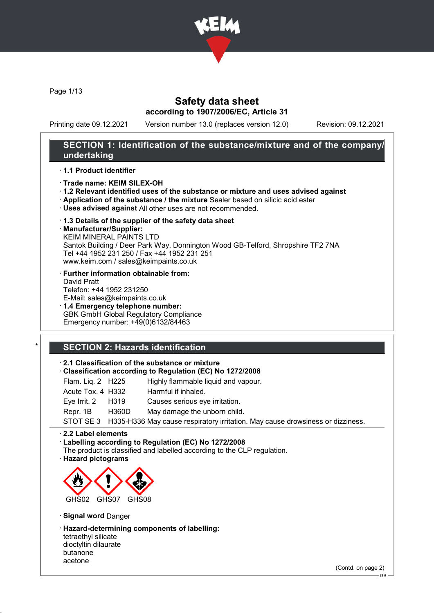

Page 1/13

# Safety data sheet according to 1907/2006/EC, Article 31

Printing date 09.12.2021 Version number 13.0 (replaces version 12.0) Revision: 09.12.2021

# SECTION 1: Identification of the substance/mixture and of the company/ undertaking

## · 1.1 Product identifier

- · Trade name: KEIM SILEX-OH
- · 1.2 Relevant identified uses of the substance or mixture and uses advised against
- · Application of the substance / the mixture Sealer based on silicic acid ester
- · Uses advised against All other uses are not recommended.
- · 1.3 Details of the supplier of the safety data sheet
- · Manufacturer/Supplier:

KEIM MINERAL PAINTS LTD Santok Building / Deer Park Way, Donnington Wood GB-Telford, Shropshire TF2 7NA Tel +44 1952 231 250 / Fax +44 1952 231 251 www.keim.com / sales@keimpaints.co.uk

- · Further information obtainable from: David Pratt Telefon: +44 1952 231250 E-Mail: sales@keimpaints.co.uk
- · 1.4 Emergency telephone number: GBK GmbH Global Regulatory Compliance Emergency number: +49(0)6132/84463

# SECTION 2: Hazards identification

## · 2.1 Classification of the substance or mixture

- · Classification according to Regulation (EC) No 1272/2008
- Flam. Liq. 2 H225 Highly flammable liquid and vapour.
- Acute Tox. 4 H332 Harmful if inhaled. Eye Irrit. 2 H319 Causes serious eye irritation.
- Repr. 1B H360D May damage the unborn child.

STOT SE 3 H335-H336 May cause respiratory irritation. May cause drowsiness or dizziness.

· 2.2 Label elements

## · Labelling according to Regulation (EC) No 1272/2008

- The product is classified and labelled according to the CLP regulation.
- · Hazard pictograms



## · Signal word Danger

- · Hazard-determining components of labelling:
- tetraethyl silicate dioctyltin dilaurate butanone acetone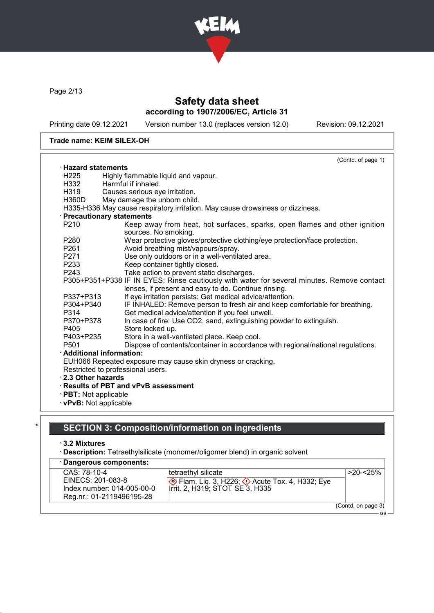

Page 2/13

# Safety data sheet according to 1907/2006/EC, Article 31

Printing date 09.12.2021 Version number 13.0 (replaces version 12.0) Revision: 09.12.2021

## Trade name: KEIM SILEX-OH

|                             | (Contd. of page 1)                                                                                                                                 |
|-----------------------------|----------------------------------------------------------------------------------------------------------------------------------------------------|
| $\cdot$ Hazard statements   |                                                                                                                                                    |
| H <sub>225</sub>            | Highly flammable liquid and vapour.                                                                                                                |
| H332                        | Harmful if inhaled.                                                                                                                                |
| H319                        | Causes serious eye irritation.                                                                                                                     |
| H360D                       | May damage the unborn child.                                                                                                                       |
|                             | H335-H336 May cause respiratory irritation. May cause drowsiness or dizziness.                                                                     |
|                             | · Precautionary statements                                                                                                                         |
| P <sub>210</sub>            | Keep away from heat, hot surfaces, sparks, open flames and other ignition                                                                          |
|                             | sources. No smoking.                                                                                                                               |
| P280                        | Wear protective gloves/protective clothing/eye protection/face protection.                                                                         |
| P261                        | Avoid breathing mist/vapours/spray.                                                                                                                |
| P <sub>271</sub>            | Use only outdoors or in a well-ventilated area.                                                                                                    |
| P233                        | Keep container tightly closed.                                                                                                                     |
| P243                        | Take action to prevent static discharges.                                                                                                          |
|                             | P305+P351+P338 IF IN EYES: Rinse cautiously with water for several minutes. Remove contact<br>lenses, if present and easy to do. Continue rinsing. |
| P337+P313                   | If eye irritation persists: Get medical advice/attention.                                                                                          |
| P304+P340                   | IF INHALED: Remove person to fresh air and keep comfortable for breathing.                                                                         |
| P314                        | Get medical advice/attention if you feel unwell.                                                                                                   |
| P370+P378                   | In case of fire: Use CO2, sand, extinguishing powder to extinguish.                                                                                |
| P405                        | Store locked up.                                                                                                                                   |
| P403+P235                   | Store in a well-ventilated place. Keep cool.                                                                                                       |
| P <sub>501</sub>            | Dispose of contents/container in accordance with regional/national regulations.                                                                    |
|                             | · Additional information:                                                                                                                          |
|                             | EUH066 Repeated exposure may cause skin dryness or cracking.                                                                                       |
|                             | Restricted to professional users.                                                                                                                  |
| 2.3 Other hazards           |                                                                                                                                                    |
|                             | · Results of PBT and vPvB assessment                                                                                                               |
| $\cdot$ PBT: Not applicable |                                                                                                                                                    |
|                             | · vPvB: Not applicable                                                                                                                             |

# SECTION 3: Composition/information on ingredients

## · 3.2 Mixtures

· Description: Tetraethylsilicate (monomer/oligomer blend) in organic solvent

| · Dangerous components:    |                                                                                        |                    |
|----------------------------|----------------------------------------------------------------------------------------|--------------------|
| CAS: 78-10-4               | tetraethyl silicate                                                                    | $>20 - 25\%$       |
| EINECS: 201-083-8          | <b>♦ Flam. Liq. 3, H226; ♦ Acute Tox. 4, H332; Eye</b> Irrit. 2, H319; STOT SE 3, H335 |                    |
| Index number: 014-005-00-0 |                                                                                        |                    |
| Reg.nr.: 01-2119496195-28  |                                                                                        |                    |
|                            |                                                                                        | (Contd. on page 3) |
|                            |                                                                                        | GR.                |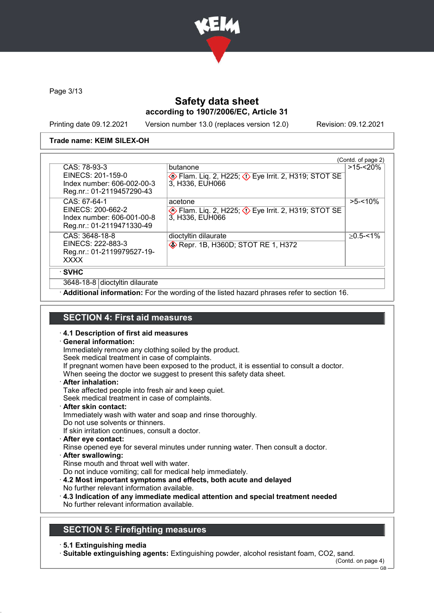

Page 3/13

# Safety data sheet according to 1907/2006/EC, Article 31

Printing date 09.12.2021 Version number 13.0 (replaces version 12.0) Revision: 09.12.2021

## Trade name: KEIM SILEX-OH

|                                                                                              |                                                                                           | (Contd. of page 2) |
|----------------------------------------------------------------------------------------------|-------------------------------------------------------------------------------------------|--------------------|
| CAS: 78-93-3<br>EINECS: 201-159-0<br>Index number: 606-002-00-3<br>Reg.nr.: 01-2119457290-43 | butanone<br>Flam. Liq. 2, H225; $\Diamond$ Eye Irrit. 2, H319; STOT SE<br>3, H336, EUH066 | $>15 - 20%$        |
| CAS: 67-64-1<br>EINECS: 200-662-2<br>Index number: 606-001-00-8<br>Reg.nr.: 01-2119471330-49 | acetone<br>Flam. Liq. 2, H225; $\Diamond$ Eye Irrit. 2, H319; STOT SE<br>3, H336, EUH066  | $>5 - 10\%$        |
| CAS: 3648-18-8<br>EINECS: 222-883-3<br>Reg.nr.: 01-2119979527-19-<br><b>XXXX</b>             | dioctyltin dilaurate<br><b>EXAMPLE 1288 Repr. 1B, H360D; STOT RE 1, H372</b>              | $>0.5 - 1\%$       |
| · SVHC                                                                                       |                                                                                           |                    |
| 3648-18-8 dioctyltin dilaurate                                                               |                                                                                           |                    |

Additional information: For the wording of the listed hazard phrases refer to section 16.

# SECTION 4: First aid measures

## · 4.1 Description of first aid measures

· General information:

Immediately remove any clothing soiled by the product.

Seek medical treatment in case of complaints.

If pregnant women have been exposed to the product, it is essential to consult a doctor.

When seeing the doctor we suggest to present this safety data sheet.

· After inhalation:

Take affected people into fresh air and keep quiet.

Seek medical treatment in case of complaints.

· After skin contact:

Immediately wash with water and soap and rinse thoroughly.

Do not use solvents or thinners.

If skin irritation continues, consult a doctor.

· After eye contact:

Rinse opened eye for several minutes under running water. Then consult a doctor.

· After swallowing:

Rinse mouth and throat well with water.

Do not induce vomiting; call for medical help immediately.

- · 4.2 Most important symptoms and effects, both acute and delayed
- No further relevant information available.
- · 4.3 Indication of any immediate medical attention and special treatment needed No further relevant information available.

# SECTION 5: Firefighting measures

· 5.1 Extinguishing media

· Suitable extinguishing agents: Extinguishing powder, alcohol resistant foam, CO2, sand.

(Contd. on page 4)

GB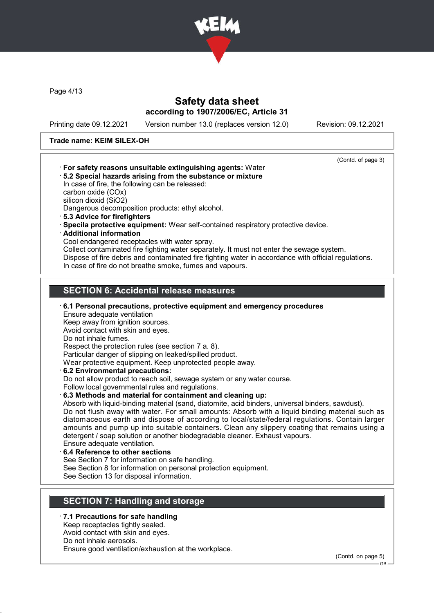

Page 4/13

# Safety data sheet according to 1907/2006/EC, Article 31

Printing date 09.12.2021 Version number 13.0 (replaces version 12.0) Revision: 09.12.2021

## Trade name: KEIM SILEX-OH

(Contd. of page 3) · For safety reasons unsuitable extinguishing agents: Water · 5.2 Special hazards arising from the substance or mixture In case of fire, the following can be released: carbon oxide (COx) silicon dioxid (SiO2) Dangerous decomposition products: ethyl alcohol. · 5.3 Advice for firefighters · Specila protective equipment: Wear self-contained respiratory protective device. · Additional information Cool endangered receptacles with water spray. Collect contaminated fire fighting water separately. It must not enter the sewage system. Dispose of fire debris and contaminated fire fighting water in accordance with official regulations. In case of fire do not breathe smoke, fumes and vapours. SECTION 6: Accidental release measures · 6.1 Personal precautions, protective equipment and emergency procedures Ensure adequate ventilation Keep away from ignition sources. Avoid contact with skin and eyes. Do not inhale fumes. Respect the protection rules (see section 7 a. 8). Particular danger of slipping on leaked/spilled product. Wear protective equipment. Keep unprotected people away. · 6.2 Environmental precautions: Do not allow product to reach soil, sewage system or any water course. Follow local governmental rules and regulations. · 6.3 Methods and material for containment and cleaning up: Absorb with liquid-binding material (sand, diatomite, acid binders, universal binders, sawdust). Do not flush away with water. For small amounts: Absorb with a liquid binding material such as diatomaceous earth and dispose of according to local/state/federal regulations. Contain larger amounts and pump up into suitable containers. Clean any slippery coating that remains using a detergent / soap solution or another biodegradable cleaner. Exhaust vapours. Ensure adequate ventilation. 6.4 Reference to other sections See Section 7 for information on safe handling. See Section 8 for information on personal protection equipment. See Section 13 for disposal information. SECTION 7: Handling and storage

# · 7.1 Precautions for safe handling

Keep receptacles tightly sealed.

Avoid contact with skin and eyes. Do not inhale aerosols.

Ensure good ventilation/exhaustion at the workplace.

(Contd. on page 5)

GB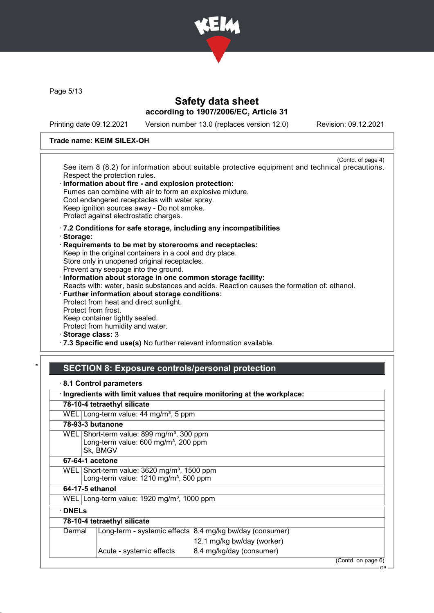

Page 5/13

# Safety data sheet according to 1907/2006/EC, Article 31

Printing date 09.12.2021 Version number 13.0 (replaces version 12.0) Revision: 09.12.2021

## Trade name: KEIM SILEX-OH

(Contd. of page 4) See item 8 (8.2) for information about suitable protective equipment and technical precautions. Respect the protection rules. Information about fire - and explosion protection: Fumes can combine with air to form an explosive mixture. Cool endangered receptacles with water spray. Keep ignition sources away - Do not smoke. Protect against electrostatic charges. · 7.2 Conditions for safe storage, including any incompatibilities

- · Storage:
- · Requirements to be met by storerooms and receptacles: Keep in the original containers in a cool and dry place. Store only in unopened original receptacles. Prevent any seepage into the ground. · Information about storage in one common storage facility: Reacts with: water, basic substances and acids. Reaction causes the formation of: ethanol. · Further information about storage conditions: Protect from heat and direct sunlight. Protect from frost. Keep container tightly sealed.

Protect from humidity and water.

· Storage class: 3

· 7.3 Specific end use(s) No further relevant information available.

# SECTION 8: Exposure controls/personal protection

|              |                                                                                                                      | Ingredients with limit values that require monitoring at the workplace: |                    |
|--------------|----------------------------------------------------------------------------------------------------------------------|-------------------------------------------------------------------------|--------------------|
|              | 78-10-4 tetraethyl silicate                                                                                          |                                                                         |                    |
|              | WEL Long-term value: 44 mg/m <sup>3</sup> , 5 ppm                                                                    |                                                                         |                    |
|              | 78-93-3 butanone                                                                                                     |                                                                         |                    |
|              | WEL Short-term value: $899 \text{ mg/m}^3$ , 300 ppm<br>Long-term value: 600 mg/m <sup>3</sup> , 200 ppm<br>Sk, BMGV |                                                                         |                    |
|              | 67-64-1 acetone                                                                                                      |                                                                         |                    |
| WELI         | Short-term value: $3620$ mg/m <sup>3</sup> , 1500 ppm<br>Long-term value: 1210 mg/m <sup>3</sup> , 500 ppm           |                                                                         |                    |
|              | 64-17-5 ethanol                                                                                                      |                                                                         |                    |
|              | WEL Long-term value: $1920 \text{ mg/m}^3$ , 1000 ppm                                                                |                                                                         |                    |
| <b>DNELs</b> |                                                                                                                      |                                                                         |                    |
|              | 78-10-4 tetraethyl silicate                                                                                          |                                                                         |                    |
| Dermal       |                                                                                                                      | Long-term - systemic effects $ 8.4 \text{ mg/kg}$ bw/day (consumer)     |                    |
|              |                                                                                                                      | 12.1 mg/kg bw/day (worker)                                              |                    |
|              | Acute - systemic effects                                                                                             | 8.4 mg/kg/day (consumer)                                                |                    |
|              |                                                                                                                      |                                                                         | (Contd. on page 6) |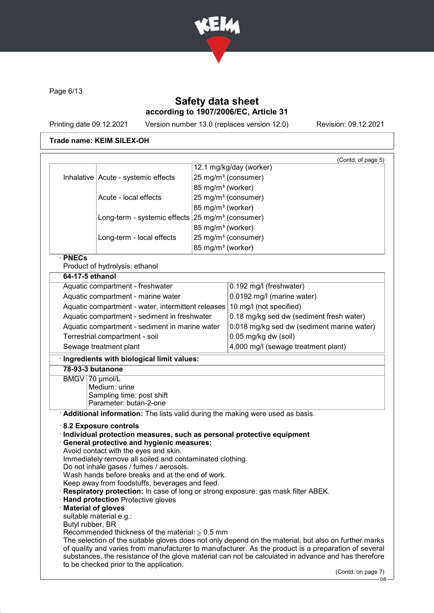

Page 6/13

# Safety data sheet according to 1907/2006/EC, Article 31

Printing date 09.12.2021 Version number 13.0 (replaces version 12.0) Revision: 09.12.2021

# Trade name: KEIM SILEX-OH

|                                                                          |                                                                                                    |                               | (Contd. of page 5)<br>12.1 mg/kg/day (worker)                                                        |
|--------------------------------------------------------------------------|----------------------------------------------------------------------------------------------------|-------------------------------|------------------------------------------------------------------------------------------------------|
|                                                                          |                                                                                                    |                               |                                                                                                      |
|                                                                          | Inhalative   Acute - systemic effects                                                              |                               | 25 mg/m <sup>3</sup> (consumer)                                                                      |
|                                                                          |                                                                                                    | 85 mg/m <sup>3</sup> (worker) |                                                                                                      |
|                                                                          | Acute - local effects                                                                              |                               | 25 mg/m <sup>3</sup> (consumer)                                                                      |
|                                                                          |                                                                                                    | 85 mg/m <sup>3</sup> (worker) |                                                                                                      |
|                                                                          | Long-term - systemic effects $25 \text{ mg/m}^3$ (consumer)                                        |                               |                                                                                                      |
|                                                                          |                                                                                                    | 85 mg/m <sup>3</sup> (worker) |                                                                                                      |
|                                                                          | Long-term - local effects                                                                          |                               | 25 mg/m <sup>3</sup> (consumer)                                                                      |
| · PNECs                                                                  |                                                                                                    | 85 mg/m <sup>3</sup> (worker) |                                                                                                      |
|                                                                          | Product of hydrolysis: ethanol                                                                     |                               |                                                                                                      |
| 64-17-5 ethanol                                                          |                                                                                                    |                               |                                                                                                      |
|                                                                          | Aquatic compartment - freshwater                                                                   |                               | 0.192 mg/l (freshwater)                                                                              |
|                                                                          | Aquatic compartment - marine water                                                                 |                               | 0.0192 mg/l (marine water)                                                                           |
|                                                                          | Aquatic compartment - water, intermittent releases 10 mg/l (not specified)                         |                               |                                                                                                      |
|                                                                          | Aquatic compartment - sediment in freshwater                                                       |                               | 0.18 mg/kg sed dw (sediment fresh water)                                                             |
|                                                                          | Aquatic compartment - sediment in marine water                                                     |                               | 0.018 mg/kg sed dw (sediment marine water)                                                           |
|                                                                          | Terrestrial compartment - soil                                                                     |                               | 0.05 mg/kg dw (soil)                                                                                 |
|                                                                          | Sewage treatment plant                                                                             |                               | 4,000 mg/l (sewage treatment plant)                                                                  |
|                                                                          | Ingredients with biological limit values:                                                          |                               |                                                                                                      |
| 78-93-3 butanone                                                         |                                                                                                    |                               |                                                                                                      |
| BMGV 70 µmol/L                                                           |                                                                                                    |                               |                                                                                                      |
|                                                                          | Medium: urine                                                                                      |                               |                                                                                                      |
|                                                                          | Sampling time: post shift<br>Parameter: butan-2-one                                                |                               |                                                                                                      |
|                                                                          | Additional information: The lists valid during the making were used as basis.                      |                               |                                                                                                      |
|                                                                          |                                                                                                    |                               |                                                                                                      |
|                                                                          | 8.2 Exposure controls<br>Individual protection measures, such as personal protective equipment     |                               |                                                                                                      |
|                                                                          | <b>General protective and hygienic measures:</b>                                                   |                               |                                                                                                      |
|                                                                          | Avoid contact with the eyes and skin.                                                              |                               |                                                                                                      |
|                                                                          | Immediately remove all soiled and contaminated clothing.                                           |                               |                                                                                                      |
|                                                                          | Do not inhale gases / fumes / aerosols.                                                            |                               |                                                                                                      |
|                                                                          | Wash hands before breaks and at the end of work.<br>Keep away from foodstuffs, beverages and feed. |                               |                                                                                                      |
|                                                                          |                                                                                                    |                               | Respiratory protection: In case of long or strong exposure: gas mask filter ABEK.                    |
|                                                                          | Hand protection Protective gloves                                                                  |                               |                                                                                                      |
| <b>Material of gloves</b>                                                |                                                                                                    |                               |                                                                                                      |
|                                                                          | suitable material e.g.:                                                                            |                               |                                                                                                      |
| Butyl rubber, BR<br>Recommended thickness of the material: $\geq 0.5$ mm |                                                                                                    |                               |                                                                                                      |
|                                                                          |                                                                                                    |                               | The selection of the suitable gloves does not only depend on the material, but also on further marks |
|                                                                          |                                                                                                    |                               | of quality and varies from manufacturer to manufacturer. As the product is a preparation of several  |
|                                                                          |                                                                                                    |                               | substances, the resistance of the glove material can not be calculated in advance and has therefore  |
|                                                                          | to be checked prior to the application.                                                            |                               | (Contd. on page 7)                                                                                   |
|                                                                          |                                                                                                    |                               |                                                                                                      |

- ′<br>- GB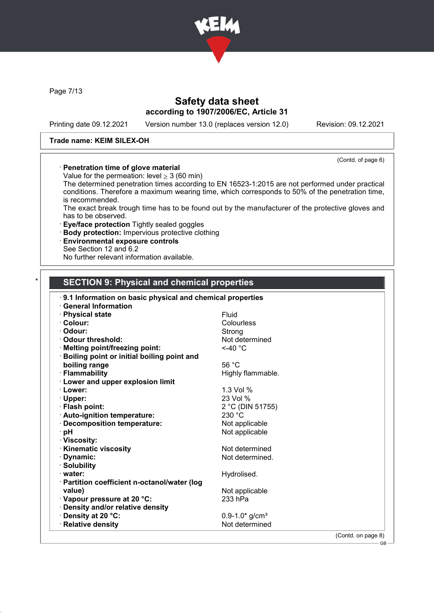

Page 7/13

# Safety data sheet according to 1907/2006/EC, Article 31

Printing date 09.12.2021 Version number 13.0 (replaces version 12.0) Revision: 09.12.2021

## Trade name: KEIM SILEX-OH

(Contd. of page 6)

## · Penetration time of glove material

Value for the permeation: level  $\geq$  3 (60 min)

The determined penetration times according to EN 16523-1:2015 are not performed under practical conditions. Therefore a maximum wearing time, which corresponds to 50% of the penetration time, is recommended.

The exact break trough time has to be found out by the manufacturer of the protective gloves and has to be observed.

· Eye/face protection Tightly sealed goggles

- · Body protection: Impervious protective clothing
- · Environmental exposure controls
- See Section 12 and 6.2

No further relevant information available.

# SECTION 9: Physical and chemical properties

| 9.1 Information on basic physical and chemical properties |                                |  |
|-----------------------------------------------------------|--------------------------------|--|
| <b>General Information</b>                                |                                |  |
| · Physical state                                          | Fluid                          |  |
| · Colour:                                                 | Colourless                     |  |
| · Odour:                                                  | Strong                         |  |
| · Odour threshold:                                        | Not determined                 |  |
| · Melting point/freezing point:                           | $<$ -40 $^{\circ}$ C           |  |
| Boiling point or initial boiling point and                |                                |  |
| boiling range                                             | 56 $°C$                        |  |
| · Flammability                                            | Highly flammable.              |  |
| <b>Lower and upper explosion limit</b>                    |                                |  |
| · Lower:                                                  | 1.3 Vol %                      |  |
| · Upper:                                                  | 23 Vol %                       |  |
| · Flash point:                                            | 2 °C (DIN 51755)               |  |
| · Auto-ignition temperature:                              | 230 °C                         |  |
| · Decomposition temperature:                              | Not applicable                 |  |
| ⊤pH                                                       | Not applicable                 |  |
| · Viscosity:                                              |                                |  |
| <b>Kinematic viscosity</b>                                | Not determined                 |  |
| · Dynamic:                                                | Not determined.                |  |
| · Solubility                                              |                                |  |
| · water:                                                  | Hydrolised.                    |  |
| · Partition coefficient n-octanol/water (log              |                                |  |
| value)                                                    | Not applicable                 |  |
| Vapour pressure at 20 °C:                                 | 233 hPa                        |  |
| · Density and/or relative density                         |                                |  |
| <b>⋅Density at 20 °C:</b>                                 | $0.9 - 1.0*$ g/cm <sup>3</sup> |  |
| · Relative density                                        | Not determined                 |  |

(Contd. on page 8)  $-$  GB -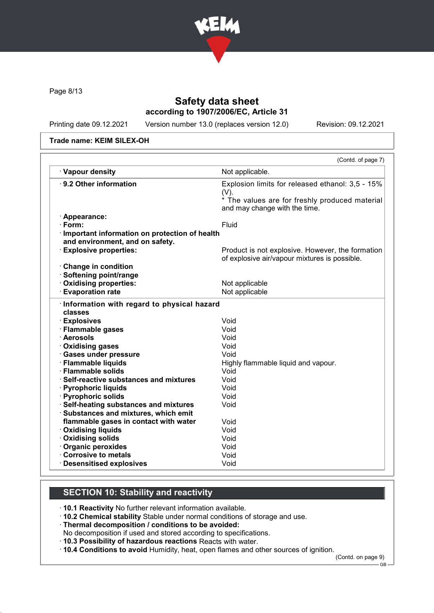

Page 8/13

# Safety data sheet according to 1907/2006/EC, Article 31

Printing date 09.12.2021 Version number 13.0 (replaces version 12.0) Revision: 09.12.2021

Trade name: KEIM SILEX-OH

|                                                                       | (Contd. of page 7)                                                                                            |
|-----------------------------------------------------------------------|---------------------------------------------------------------------------------------------------------------|
| · Vapour density                                                      | Not applicable.                                                                                               |
| ⋅ 9.2 Other information                                               | Explosion limits for released ethanol: 3,5 - 15%<br>$(V)$ .<br>* The values are for freshly produced material |
|                                                                       | and may change with the time.                                                                                 |
| · Appearance:                                                         |                                                                                                               |
| $\cdot$ Form:                                                         | <b>Fluid</b>                                                                                                  |
| · Important information on protection of health                       |                                                                                                               |
| and environment, and on safety.                                       |                                                                                                               |
| <b>Explosive properties:</b>                                          | Product is not explosive. However, the formation                                                              |
|                                                                       | of explosive air/vapour mixtures is possible.                                                                 |
| Change in condition                                                   |                                                                                                               |
| · Softening point/range                                               |                                                                                                               |
| Oxidising properties:                                                 | Not applicable                                                                                                |
| <b>Evaporation rate</b>                                               | Not applicable                                                                                                |
| Information with regard to physical hazard<br>classes<br>· Explosives | Void                                                                                                          |
|                                                                       | Void                                                                                                          |
| · Flammable gases<br>· Aerosols                                       | Void                                                                                                          |
| · Oxidising gases                                                     | Void                                                                                                          |
| · Gases under pressure                                                | Void                                                                                                          |
| · Flammable liquids                                                   |                                                                                                               |
| · Flammable solids                                                    | Highly flammable liquid and vapour.<br>Void                                                                   |
| · Self-reactive substances and mixtures                               | Void                                                                                                          |
| · Pyrophoric liquids                                                  | Void                                                                                                          |
| · Pyrophoric solids                                                   | Void                                                                                                          |
| · Self-heating substances and mixtures                                | Void                                                                                                          |
| · Substances and mixtures, which emit                                 |                                                                                                               |
| flammable gases in contact with water                                 | Void                                                                                                          |
| · Oxidising liquids                                                   | Void                                                                                                          |
| · Oxidising solids                                                    | Void                                                                                                          |
| · Organic peroxides                                                   | Void                                                                                                          |
| Corrosive to metals                                                   | Void                                                                                                          |
| · Desensitised explosives                                             | Void                                                                                                          |
|                                                                       |                                                                                                               |

# SECTION 10: Stability and reactivity

· 10.1 Reactivity No further relevant information available.

· 10.2 Chemical stability Stable under normal conditions of storage and use.

· Thermal decomposition / conditions to be avoided:

- No decomposition if used and stored according to specifications.
- · 10.3 Possibility of hazardous reactions Reacts with water.

· 10.4 Conditions to avoid Humidity, heat, open flames and other sources of ignition.

(Contd. on page 9)

GB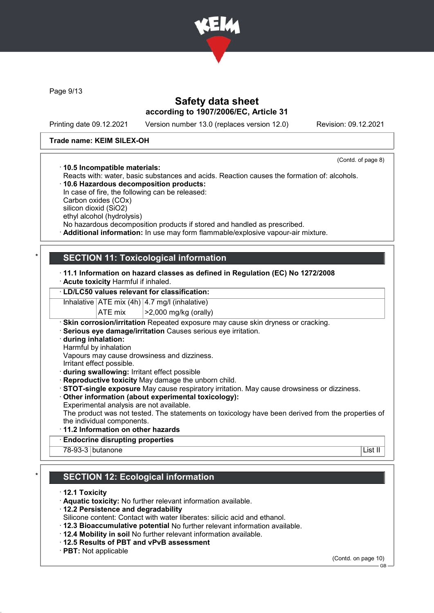

Page 9/13

# Safety data sheet according to 1907/2006/EC, Article 31

Printing date 09.12.2021 Version number 13.0 (replaces version 12.0) Revision: 09.12.2021

## Trade name: KEIM SILEX-OH

(Contd. of page 8)

· 10.5 Incompatible materials: Reacts with: water, basic substances and acids. Reaction causes the formation of: alcohols. · 10.6 Hazardous decomposition products:

In case of fire, the following can be released: Carbon oxides (COx) silicon dioxid (SiO2)

ethyl alcohol (hydrolysis)

No hazardous decomposition products if stored and handled as prescribed.

· Additional information: In use may form flammable/explosive vapour-air mixture.

# **SECTION 11: Toxicological information**

- · 11.1 Information on hazard classes as defined in Regulation (EC) No 1272/2008
- · Acute toxicity Harmful if inhaled.

## · LD/LC50 values relevant for classification:

Inhalative  $ATE \text{ mix } (4h)$  4.7 mg/l (inhalative)

ATE mix  $\vert$  >2,000 mg/kg (orally)

· Skin corrosion/irritation Repeated exposure may cause skin dryness or cracking.

· Serious eye damage/irritation Causes serious eye irritation.

· during inhalation:

Harmful by inhalation

Vapours may cause drowsiness and dizziness.

Irritant effect possible.

· during swallowing: Irritant effect possible

· Reproductive toxicity May damage the unborn child.

· STOT-single exposure May cause respiratory irritation. May cause drowsiness or dizziness.

· Other information (about experimental toxicology):

Experimental analysis are not available.

The product was not tested. The statements on toxicology have been derived from the properties of the individual components.

- · 11.2 Information on other hazards
- **Endocrine disrupting properties**

78-93-3 butanone List II

# **SECTION 12: Ecological information**

- · 12.1 Toxicity
- · Aquatic toxicity: No further relevant information available.
- · 12.2 Persistence and degradability
- Silicone content: Contact with water liberates: silicic acid and ethanol.
- · 12.3 Bioaccumulative potential No further relevant information available.
- · 12.4 Mobility in soil No further relevant information available.
- · 12.5 Results of PBT and vPvB assessment
- · PBT: Not applicable

(Contd. on page 10)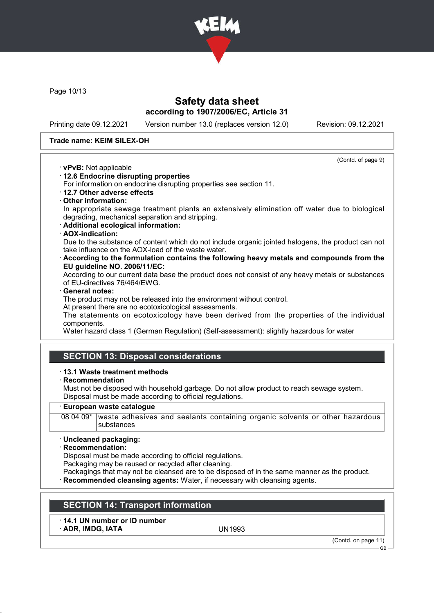

Page 10/13

# Safety data sheet according to 1907/2006/EC, Article 31

Printing date 09.12.2021 Version number 13.0 (replaces version 12.0) Revision: 09.12.2021

(Contd. of page 9)

## Trade name: KEIM SILEX-OH

- · vPvB: Not applicable
- · 12.6 Endocrine disrupting properties

For information on endocrine disrupting properties see section 11.

· 12.7 Other adverse effects

## · Other information:

In appropriate sewage treatment plants an extensively elimination off water due to biological degrading, mechanical separation and stripping.

· Additional ecological information:

## · AOX-indication:

Due to the substance of content which do not include organic jointed halogens, the product can not take influence on the AOX-load of the waste water.

· According to the formulation contains the following heavy metals and compounds from the EU guideline NO. 2006/11/EC:

According to our current data base the product does not consist of any heavy metals or substances of EU-directives 76/464/EWG.

## General notes:

The product may not be released into the environment without control.

At present there are no ecotoxicological assessments.

The statements on ecotoxicology have been derived from the properties of the individual components.

Water hazard class 1 (German Regulation) (Self-assessment): slightly hazardous for water

# SECTION 13: Disposal considerations

## · 13.1 Waste treatment methods

· Recommendation

Must not be disposed with household garbage. Do not allow product to reach sewage system. Disposal must be made according to official regulations.

## European waste catalogue

08 04 09\* waste adhesives and sealants containing organic solvents or other hazardous substances

## · Uncleaned packaging:

## · Recommendation:

Disposal must be made according to official regulations.

Packaging may be reused or recycled after cleaning.

- Packagings that may not be cleansed are to be disposed of in the same manner as the product.
- **Recommended cleansing agents:** Water, if necessary with cleansing agents.

# SECTION 14: Transport information

· 14.1 UN number or ID number ADR, IMDG, IATA UN1993

(Contd. on page 11)

GB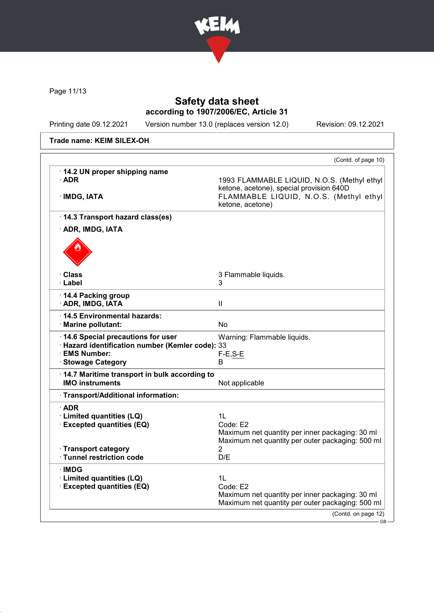

Page 11/13

# Safety data sheet according to 1907/2006/EC, Article 31

Printing date 09.12.2021 Version number 13.0 (replaces version 12.0) Revision: 09.12.2021

Trade name: KEIM SILEX-OH

|                                                                                                                                | (Contd. of page 10)                                                                                                                                   |
|--------------------------------------------------------------------------------------------------------------------------------|-------------------------------------------------------------------------------------------------------------------------------------------------------|
| · 14.2 UN proper shipping name<br>$\cdot$ ADR<br>· IMDG, IATA                                                                  | 1993 FLAMMABLE LIQUID, N.O.S. (Methyl ethyl<br>ketone, acetone), special provision 640D<br>FLAMMABLE LIQUID, N.O.S. (Methyl ethyl<br>ketone, acetone) |
| 14.3 Transport hazard class(es)                                                                                                |                                                                                                                                                       |
| · ADR, IMDG, IATA                                                                                                              |                                                                                                                                                       |
|                                                                                                                                |                                                                                                                                                       |
| · Class<br>· Label                                                                                                             | 3 Flammable liquids.<br>3                                                                                                                             |
| 14.4 Packing group<br>· ADR, IMDG, IATA                                                                                        | $\mathbf{II}$                                                                                                                                         |
| ⋅14.5 Environmental hazards:<br>· Marine pollutant:                                                                            | No                                                                                                                                                    |
| · 14.6 Special precautions for user<br>· Hazard identification number (Kemler code): 33<br>· EMS Number:<br>· Stowage Category | Warning: Flammable liquids.<br>$F-E, S-E$<br>В                                                                                                        |
| · 14.7 Maritime transport in bulk according to<br><b>IMO instruments</b>                                                       | Not applicable                                                                                                                                        |
| · Transport/Additional information:                                                                                            |                                                                                                                                                       |
| $\cdot$ ADR<br>· Limited quantities (LQ)<br>· Excepted quantities (EQ)                                                         | 1L<br>Code: E2<br>Maximum net quantity per inner packaging: 30 ml<br>Maximum net quantity per outer packaging: 500 ml                                 |
| · Transport category<br>· Tunnel restriction code                                                                              | 2<br>D/E                                                                                                                                              |
| ∙IMDG<br>· Limited quantities (LQ)<br><b>Excepted quantities (EQ)</b>                                                          | 1L<br>Code: E2<br>Maximum net quantity per inner packaging: 30 ml<br>Maximum net quantity per outer packaging: 500 ml                                 |
|                                                                                                                                | (Contd. on page 12)                                                                                                                                   |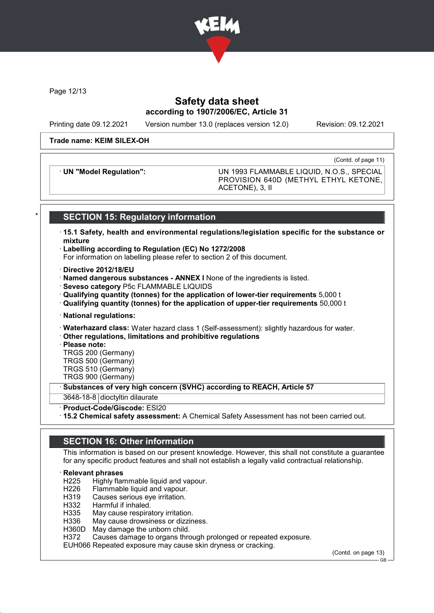

Page 12/13

# Safety data sheet according to 1907/2006/EC, Article 31

Printing date 09.12.2021 Version number 13.0 (replaces version 12.0) Revision: 09.12.2021

#### Trade name: KEIM SILEX-OH

(Contd. of page 11)

· UN "Model Regulation": UN 1993 FLAMMABLE LIQUID, N.O.S., SPECIAL PROVISION 640D (METHYL ETHYL KETONE, ACETONE), 3, II

# **SECTION 15: Regulatory information**

- · 15.1 Safety, health and environmental regulations/legislation specific for the substance or mixture
- · Labelling according to Regulation (EC) No 1272/2008

For information on labelling please refer to section 2 of this document.

- · Directive 2012/18/EU
- · Named dangerous substances ANNEX I None of the ingredients is listed.
- · Seveso category P5c FLAMMABLE LIQUIDS
- · Qualifying quantity (tonnes) for the application of lower-tier requirements 5,000 t
- · Qualifying quantity (tonnes) for the application of upper-tier requirements 50,000 t
- · National regulations:
- · Waterhazard class: Water hazard class 1 (Self-assessment): slightly hazardous for water.
- · Other regulations, limitations and prohibitive regulations

· Please note:

- TRGS 200 (Germany)
- TRGS 500 (Germany)
- TRGS 510 (Germany) TRGS 900 (Germany)

Substances of very high concern (SVHC) according to REACH, Article 57

- 3648-18-8 dioctyltin dilaurate
- · Product-Code/Giscode: ESI20
- · 15.2 Chemical safety assessment: A Chemical Safety Assessment has not been carried out.

# SECTION 16: Other information

This information is based on our present knowledge. However, this shall not constitute a guarantee for any specific product features and shall not establish a legally valid contractual relationship.

## **Relevant phrases**

- H225 Highly flammable liquid and vapour.
- H226 Flammable liquid and vapour.<br>H319 Causes serious eve irritation.
- H319 Causes serious eye irritation.<br>H332 Harmful if inhaled.
- Harmful if inhaled.
- H335 May cause respiratory irritation.<br>H336 May cause drowsiness or dizzin
- May cause drowsiness or dizziness.
- H360D May damage the unborn child.
- H372 Causes damage to organs through prolonged or repeated exposure.

EUH066 Repeated exposure may cause skin dryness or cracking.

(Contd. on page 13)